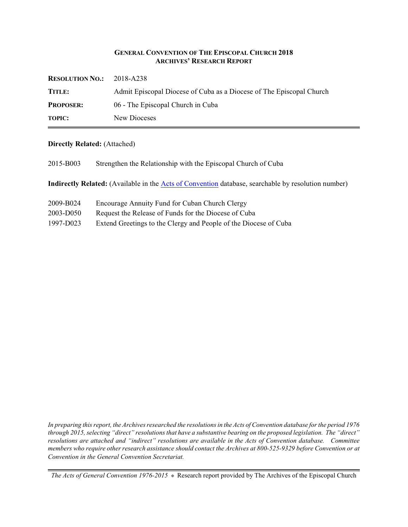### **GENERAL CONVENTION OF THE EPISCOPAL CHURCH 2018 ARCHIVES' RESEARCH REPORT**

| <b>RESOLUTION NO.:</b> | 2018-A238                                                            |
|------------------------|----------------------------------------------------------------------|
| TITLE:                 | Admit Episcopal Diocese of Cuba as a Diocese of The Episcopal Church |
| <b>PROPOSER:</b>       | 06 - The Episcopal Church in Cuba                                    |
| <b>TOPIC:</b>          | New Dioceses                                                         |

### **Directly Related:** (Attached)

2015-B003 Strengthen the Relationship with the Episcopal Church of Cuba

**Indirectly Related:** (Available in the [Acts of Convention](http://www.episcopalarchives.org/e-archives/acts/) database, searchable by resolution number)

| 2009-B024 | Encourage Annuity Fund for Cuban Church Clergy                   |
|-----------|------------------------------------------------------------------|
| 2003-D050 | Request the Release of Funds for the Diocese of Cuba             |
| 1997-D023 | Extend Greetings to the Clergy and People of the Diocese of Cuba |

*In preparing this report, the Archives researched the resolutions in the Acts of Convention database for the period 1976 through 2015, selecting "direct" resolutions that have a substantive bearing on the proposed legislation. The "direct" resolutions are attached and "indirect" resolutions are available in the Acts of Convention database. Committee members who require other research assistance should contact the Archives at 800-525-9329 before Convention or at Convention in the General Convention Secretariat.*

*The Acts of General Convention 1976-2015*  $*$  Research report provided by The Archives of the Episcopal Church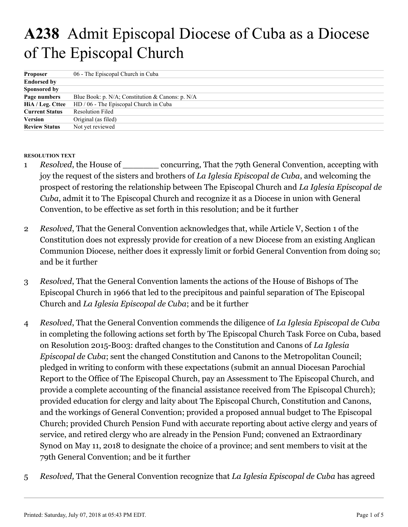# **A238** Admit Episcopal Diocese of Cuba as a Diocese of The Episcopal Church

| Proposer              | 06 - The Episcopal Church in Cuba                |  |
|-----------------------|--------------------------------------------------|--|
| <b>Endorsed by</b>    |                                                  |  |
| <b>Sponsored by</b>   |                                                  |  |
| Page numbers          | Blue Book: p. N/A; Constitution & Canons: p. N/A |  |
| HiA / Leg. Cttee      | HD / 06 - The Episcopal Church in Cuba           |  |
| <b>Current Status</b> | <b>Resolution Filed</b>                          |  |
| Version               | Original (as filed)                              |  |
| <b>Review Status</b>  | Not yet reviewed                                 |  |

## **RESOLUTION TEXT**

- *Resolved*, the House of concurring, That the 79th General Convention, accepting with joy the request of the sisters and brothers of *La Iglesia Episcopal de Cuba*, and welcoming the prospect of restoring the relationship between The Episcopal Church and *La Iglesia Episcopal de Cuba*, admit it to The Episcopal Church and recognize it as a Diocese in union with General Convention, to be effective as set forth in this resolution; and be it further 1
- *Resolved*, That the General Convention acknowledges that, while Article V, Section 1 of the Constitution does not expressly provide for creation of a new Diocese from an existing Anglican Communion Diocese, neither does it expressly limit or forbid General Convention from doing so; and be it further 2
- *Resolved*, That the General Convention laments the actions of the House of Bishops of The Episcopal Church in 1966 that led to the precipitous and painful separation of The Episcopal Church and *La Iglesia Episcopal de Cuba*; and be it further 3
- *Resolved*, That the General Convention commends the diligence of *La Iglesia Episcopal de Cuba* in completing the following actions set forth by The Episcopal Church Task Force on Cuba, based on Resolution 2015-B003: drafted changes to the Constitution and Canons of *La Iglesia Episcopal de Cuba*; sent the changed Constitution and Canons to the Metropolitan Council; pledged in writing to conform with these expectations (submit an annual Diocesan Parochial Report to the Office of The Episcopal Church, pay an Assessment to The Episcopal Church, and provide a complete accounting of the financial assistance received from The Episcopal Church); provided education for clergy and laity about The Episcopal Church, Constitution and Canons, and the workings of General Convention; provided a proposed annual budget to The Episcopal Church; provided Church Pension Fund with accurate reporting about active clergy and years of service, and retired clergy who are already in the Pension Fund; convened an Extraordinary Synod on May 11, 2018 to designate the choice of a province; and sent members to visit at the 79th General Convention; and be it further 4
- *Resolved,* That the General Convention recognize that *La Iglesia Episcopal de Cuba* has agreed 5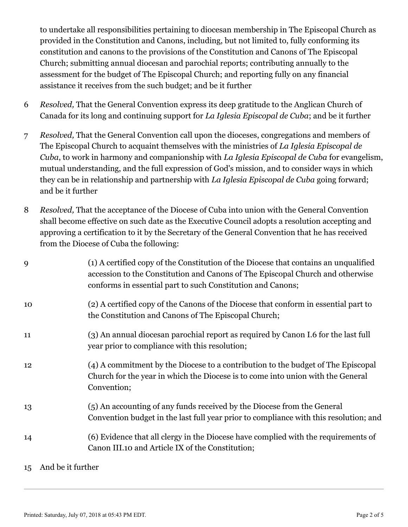to undertake all responsibilities pertaining to diocesan membership in The Episcopal Church as provided in the Constitution and Canons, including, but not limited to, fully conforming its constitution and canons to the provisions of the Constitution and Canons of The Episcopal Church; submitting annual diocesan and parochial reports; contributing annually to the assessment for the budget of The Episcopal Church; and reporting fully on any financial assistance it receives from the such budget; and be it further

- *Resolved,* That the General Convention express its deep gratitude to the Anglican Church of Canada for its long and continuing support for *La Iglesia Episcopal de Cuba*; and be it further 6
- *Resolved,* That the General Convention call upon the dioceses, congregations and members of The Episcopal Church to acquaint themselves with the ministries of *La Iglesia Episcopal de Cuba*, to work in harmony and companionship with *La Iglesia Episcopal de Cuba* for evangelism, mutual understanding, and the full expression of God's mission, and to consider ways in which they can be in relationship and partnership with *La Iglesia Episcopal de Cuba* going forward; and be it further 7
- *Resolved,* That the acceptance of the Diocese of Cuba into union with the General Convention shall become effective on such date as the Executive Council adopts a resolution accepting and approving a certification to it by the Secretary of the General Convention that he has received from the Diocese of Cuba the following: 8

| 9  | (1) A certified copy of the Constitution of the Diocese that contains an unqualified<br>accession to the Constitution and Canons of The Episcopal Church and otherwise<br>conforms in essential part to such Constitution and Canons; |  |
|----|---------------------------------------------------------------------------------------------------------------------------------------------------------------------------------------------------------------------------------------|--|
| 10 | (2) A certified copy of the Canons of the Diocese that conform in essential part to<br>the Constitution and Canons of The Episcopal Church;                                                                                           |  |
| 11 | (3) An annual diocesan parochial report as required by Canon I.6 for the last full<br>year prior to compliance with this resolution;                                                                                                  |  |
| 12 | (4) A commitment by the Diocese to a contribution to the budget of The Episcopal<br>Church for the year in which the Diocese is to come into union with the General<br>Convention;                                                    |  |
| 13 | (5) An accounting of any funds received by the Diocese from the General<br>Convention budget in the last full year prior to compliance with this resolution; and                                                                      |  |
| 14 | (6) Evidence that all clergy in the Diocese have complied with the requirements of<br>Canon III.10 and Article IX of the Constitution;                                                                                                |  |
|    | 15 And be it further                                                                                                                                                                                                                  |  |

Printed: Saturday, July 07, 2018 at 05:43 PM EDT. Page 2 of 5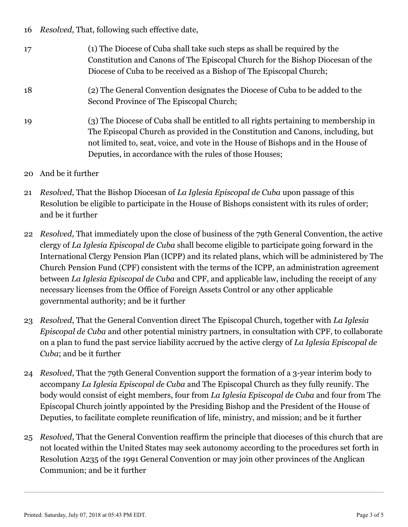*Resolved,* That, following such effective date, 16

- (1) The Diocese of Cuba shall take such steps as shall be required by the Constitution and Canons of The Episcopal Church for the Bishop Diocesan of the Diocese of Cuba to be received as a Bishop of The Episcopal Church; 17
- (2) The General Convention designates the Diocese of Cuba to be added to the Second Province of The Episcopal Church; 18
- (3) The Diocese of Cuba shall be entitled to all rights pertaining to membership in The Episcopal Church as provided in the Constitution and Canons, including, but not limited to, seat, voice, and vote in the House of Bishops and in the House of Deputies, in accordance with the rules of those Houses; 19
- And be it further 20
- *Resolved,* That the Bishop Diocesan of *La Iglesia Episcopal de Cuba* upon passage of this Resolution be eligible to participate in the House of Bishops consistent with its rules of order; and be it further 21
- *Resolved,* That immediately upon the close of business of the 79th General Convention, the active 22 clergy of *La Iglesia Episcopal de Cuba* shall become eligible to participate going forward in the International Clergy Pension Plan (ICPP) and its related plans, which will be administered by The Church Pension Fund (CPF) consistent with the terms of the ICPP, an administration agreement between *La Iglesia Episcopal de Cuba* and CPF, and applicable law, including the receipt of any necessary licenses from the Office of Foreign Assets Control or any other applicable governmental authority; and be it further
- *Resolved*, That the General Convention direct The Episcopal Church, together with *La Iglesia* 23 *Episcopal de Cuba* and other potential ministry partners, in consultation with CPF, to collaborate on a plan to fund the past service liability accrued by the active clergy of *La Iglesia Episcopal de Cuba*; and be it further
- *Resolved*, That the 79th General Convention support the formation of a 3-year interim body to 24 accompany *La Iglesia Episcopal de Cuba* and The Episcopal Church as they fully reunify. The body would consist of eight members, four from *La Iglesia Episcopal de Cuba* and four from The Episcopal Church jointly appointed by the Presiding Bishop and the President of the House of Deputies, to facilitate complete reunification of life, ministry, and mission; and be it further
- *Resolved*, That the General Convention reaffirm the principle that dioceses of this church that are 25 not located within the United States may seek autonomy according to the procedures set forth in Resolution A235 of the 1991 General Convention or may join other provinces of the Anglican Communion; and be it further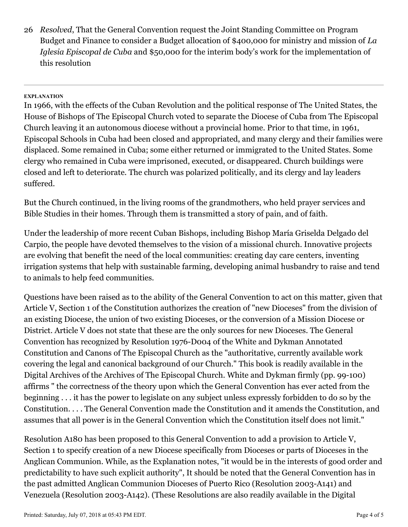*Resolved*, That the General Convention request the Joint Standing Committee on Program 26 Budget and Finance to consider a Budget allocation of \$400,000 for ministry and mission of *La Iglesia Episcopal de Cuba* and \$50,000 for the interim body's work for the implementation of this resolution

## **EXPLANATION**

In 1966, with the effects of the Cuban Revolution and the political response of The United States, the House of Bishops of The Episcopal Church voted to separate the Diocese of Cuba from The Episcopal Church leaving it an autonomous diocese without a provincial home. Prior to that time, in 1961, Episcopal Schools in Cuba had been closed and appropriated, and many clergy and their families were displaced. Some remained in Cuba; some either returned or immigrated to the United States. Some clergy who remained in Cuba were imprisoned, executed, or disappeared. Church buildings were closed and left to deteriorate. The church was polarized politically, and its clergy and lay leaders suffered.

But the Church continued, in the living rooms of the grandmothers, who held prayer services and Bible Studies in their homes. Through them is transmitted a story of pain, and of faith.

Under the leadership of more recent Cuban Bishops, including Bishop María Griselda Delgado del Carpio, the people have devoted themselves to the vision of a missional church. Innovative projects are evolving that benefit the need of the local communities: creating day care centers, inventing irrigation systems that help with sustainable farming, developing animal husbandry to raise and tend to animals to help feed communities.

Questions have been raised as to the ability of the General Convention to act on this matter, given that Article V, Section 1 of the Constitution authorizes the creation of "new Dioceses" from the division of an existing Diocese, the union of two existing Dioceses, or the conversion of a Mission Diocese or District. Article V does not state that these are the only sources for new Dioceses. The General Convention has recognized by Resolution 1976-D004 of the White and Dykman Annotated Constitution and Canons of The Episcopal Church as the "authoritative, currently available work covering the legal and canonical background of our Church." This book is readily available in the Digital Archives of the Archives of The Episcopal Church. White and Dykman firmly (pp. 99-100) affirms " the correctness of the theory upon which the General Convention has ever acted from the beginning . . . it has the power to legislate on any subject unless expressly forbidden to do so by the Constitution. . . . The General Convention made the Constitution and it amends the Constitution, and assumes that all power is in the General Convention which the Constitution itself does not limit."

Resolution A180 has been proposed to this General Convention to add a provision to Article V, Section 1 to specify creation of a new Diocese specifically from Dioceses or parts of Dioceses in the Anglican Communion. While, as the Explanation notes, "it would be in the interests of good order and predictability to have such explicit authority", It should be noted that the General Convention has in the past admitted Anglican Communion Dioceses of Puerto Rico (Resolution 2003-A141) and Venezuela (Resolution 2003-A142). (These Resolutions are also readily available in the Digital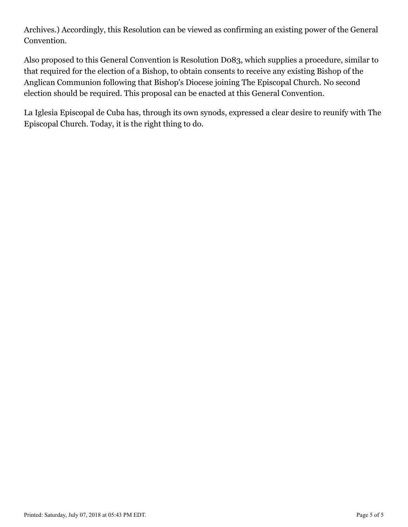Archives.) Accordingly, this Resolution can be viewed as confirming an existing power of the General Convention.

Also proposed to this General Convention is Resolution D083, which supplies a procedure, similar to that required for the election of a Bishop, to obtain consents to receive any existing Bishop of the Anglican Communion following that Bishop's Diocese joining The Episcopal Church. No second election should be required. This proposal can be enacted at this General Convention.

La Iglesia Episcopal de Cuba has, through its own synods, expressed a clear desire to reunify with The Episcopal Church. Today, it is the right thing to do.